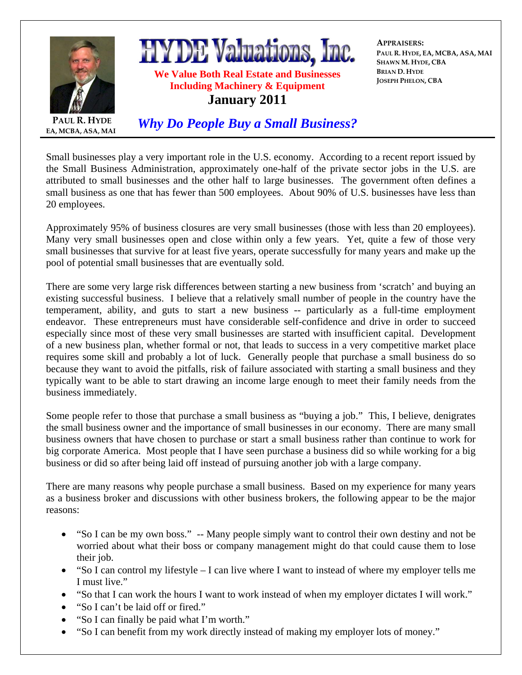

Small businesses play a very important role in the U.S. economy. According to a recent report issued by the Small Business Administration, approximately one-half of the private sector jobs in the U.S. are attributed to small businesses and the other half to large businesses. The government often defines a small business as one that has fewer than 500 employees. About 90% of U.S. businesses have less than 20 employees.

Approximately 95% of business closures are very small businesses (those with less than 20 employees). Many very small businesses open and close within only a few years. Yet, quite a few of those very small businesses that survive for at least five years, operate successfully for many years and make up the pool of potential small businesses that are eventually sold.

There are some very large risk differences between starting a new business from 'scratch' and buying an existing successful business. I believe that a relatively small number of people in the country have the temperament, ability, and guts to start a new business -- particularly as a full-time employment endeavor. These entrepreneurs must have considerable self-confidence and drive in order to succeed especially since most of these very small businesses are started with insufficient capital. Development of a new business plan, whether formal or not, that leads to success in a very competitive market place requires some skill and probably a lot of luck. Generally people that purchase a small business do so because they want to avoid the pitfalls, risk of failure associated with starting a small business and they typically want to be able to start drawing an income large enough to meet their family needs from the business immediately.

Some people refer to those that purchase a small business as "buying a job." This, I believe, denigrates the small business owner and the importance of small businesses in our economy. There are many small business owners that have chosen to purchase or start a small business rather than continue to work for big corporate America. Most people that I have seen purchase a business did so while working for a big business or did so after being laid off instead of pursuing another job with a large company.

There are many reasons why people purchase a small business. Based on my experience for many years as a business broker and discussions with other business brokers, the following appear to be the major reasons:

- "So I can be my own boss." -- Many people simply want to control their own destiny and not be worried about what their boss or company management might do that could cause them to lose their job.
- "So I can control my lifestyle I can live where I want to instead of where my employer tells me I must live."
- "So that I can work the hours I want to work instead of when my employer dictates I will work."
- "So I can't be laid off or fired."
- "So I can finally be paid what I'm worth."
- "So I can benefit from my work directly instead of making my employer lots of money."